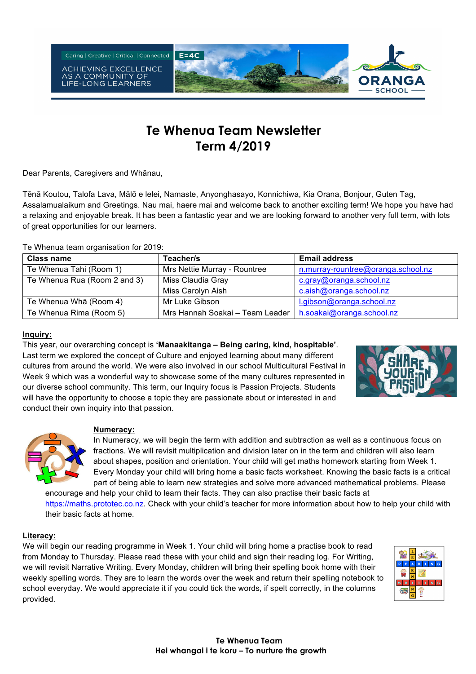

# **Te Whenua Team Newsletter Term 4/2019**

Dear Parents, Caregivers and Whānau,

Tēnā Koutou, Talofa Lava, Mālō e lelei, Namaste, Anyonghasayo, Konnichiwa, Kia Orana, Bonjour, Guten Tag, Assalamualaikum and Greetings. Nau mai, haere mai and welcome back to another exciting term! We hope you have had a relaxing and enjoyable break. It has been a fantastic year and we are looking forward to another very full term, with lots of great opportunities for our learners.

|  | Te Whenua team organisation for 2019: |  |
|--|---------------------------------------|--|

| <b>Class name</b>            | Teacher/s                       | <b>Email address</b>               |  |  |
|------------------------------|---------------------------------|------------------------------------|--|--|
| Te Whenua Tahi (Room 1)      | Mrs Nettie Murray - Rountree    | n.murray-rountree@oranga.school.nz |  |  |
| Te Whenua Rua (Room 2 and 3) | Miss Claudia Gray               | c.gray@oranga.school.nz            |  |  |
|                              | Miss Carolyn Aish               | c.aish@oranga.school.nz            |  |  |
| Te Whenua Wha (Room 4)       | Mr Luke Gibson                  | l.gibson@oranga.school.nz          |  |  |
| Te Whenua Rima (Room 5)      | Mrs Hannah Soakai - Team Leader | h.soakai@oranga.school.nz          |  |  |

#### **Inquiry:**

This year, our overarching concept is **'Manaakitanga – Being caring, kind, hospitable'**. Last term we explored the concept of Culture and enjoyed learning about many different cultures from around the world. We were also involved in our school Multicultural Festival in Week 9 which was a wonderful way to showcase some of the many cultures represented in our diverse school community. This term, our Inquiry focus is Passion Projects. Students will have the opportunity to choose a topic they are passionate about or interested in and conduct their own inquiry into that passion.





#### **Numeracy:**

In Numeracy, we will begin the term with addition and subtraction as well as a continuous focus on fractions. We will revisit multiplication and division later on in the term and children will also learn about shapes, position and orientation. Your child will get maths homework starting from Week 1. Every Monday your child will bring home a basic facts worksheet. Knowing the basic facts is a critical part of being able to learn new strategies and solve more advanced mathematical problems. Please

encourage and help your child to learn their facts. They can also practise their basic facts at https://maths.prototec.co.nz. Check with your child's teacher for more information about how to help your child with their basic facts at home.

### **Literacy:**

We will begin our reading programme in Week 1. Your child will bring home a practise book to read from Monday to Thursday. Please read these with your child and sign their reading log. For Writing, we will revisit Narrative Writing. Every Monday, children will bring their spelling book home with their weekly spelling words. They are to learn the words over the week and return their spelling notebook to school everyday. We would appreciate it if you could tick the words, if spelt correctly, in the columns provided.